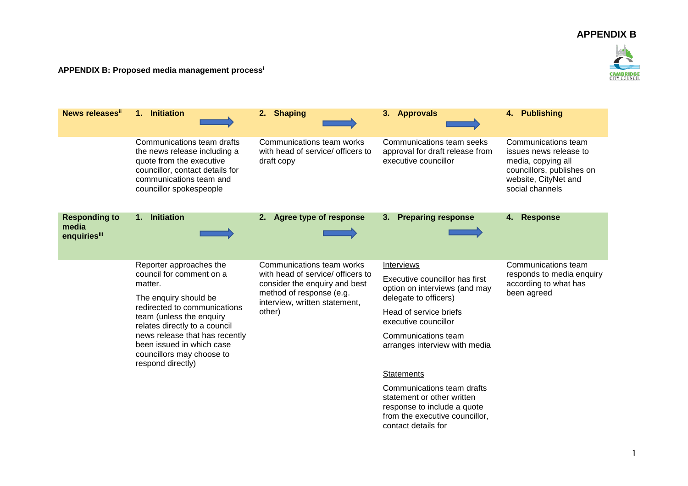## **APPENDIX B**



## **APPENDIX B: Proposed media management process<sup>i</sup>**

| News releases"                                | 1. Initiation                                                                                                                                                                                                                       | 2. Shaping                                                                                                                                                             | 3. Approvals                                                                                                                                     | <b>Publishing</b><br>4.                                                                                                                     |
|-----------------------------------------------|-------------------------------------------------------------------------------------------------------------------------------------------------------------------------------------------------------------------------------------|------------------------------------------------------------------------------------------------------------------------------------------------------------------------|--------------------------------------------------------------------------------------------------------------------------------------------------|---------------------------------------------------------------------------------------------------------------------------------------------|
|                                               |                                                                                                                                                                                                                                     |                                                                                                                                                                        |                                                                                                                                                  |                                                                                                                                             |
|                                               | Communications team drafts<br>the news release including a<br>quote from the executive<br>councillor, contact details for<br>communications team and<br>councillor spokespeople                                                     | Communications team works<br>with head of service/ officers to<br>draft copy                                                                                           | Communications team seeks<br>approval for draft release from<br>executive councillor                                                             | Communications team<br>issues news release to<br>media, copying all<br>councillors, publishes on<br>website, CityNet and<br>social channels |
| <b>Responding to</b><br>media<br>enquiriesiii | <b>Initiation</b><br>1.                                                                                                                                                                                                             | Agree type of response<br>2.                                                                                                                                           | <b>Preparing response</b><br>3.                                                                                                                  | <b>Response</b><br>4.                                                                                                                       |
|                                               | Reporter approaches the<br>council for comment on a<br>matter.                                                                                                                                                                      | Communications team works<br>with head of service/ officers to<br>consider the enquiry and best<br>method of response (e.g.<br>interview, written statement,<br>other) | Interviews<br>Executive councillor has first<br>option on interviews (and may                                                                    | Communications team<br>responds to media enquiry<br>according to what has<br>been agreed                                                    |
|                                               | The enquiry should be<br>redirected to communications<br>team (unless the enquiry<br>relates directly to a council<br>news release that has recently<br>been issued in which case<br>councillors may choose to<br>respond directly) |                                                                                                                                                                        | delegate to officers)                                                                                                                            |                                                                                                                                             |
|                                               |                                                                                                                                                                                                                                     |                                                                                                                                                                        | Head of service briefs<br>executive councillor                                                                                                   |                                                                                                                                             |
|                                               |                                                                                                                                                                                                                                     |                                                                                                                                                                        | Communications team<br>arranges interview with media                                                                                             |                                                                                                                                             |
|                                               |                                                                                                                                                                                                                                     |                                                                                                                                                                        | <b>Statements</b>                                                                                                                                |                                                                                                                                             |
|                                               |                                                                                                                                                                                                                                     |                                                                                                                                                                        | Communications team drafts<br>statement or other written<br>response to include a quote<br>from the executive councillor,<br>contact details for |                                                                                                                                             |